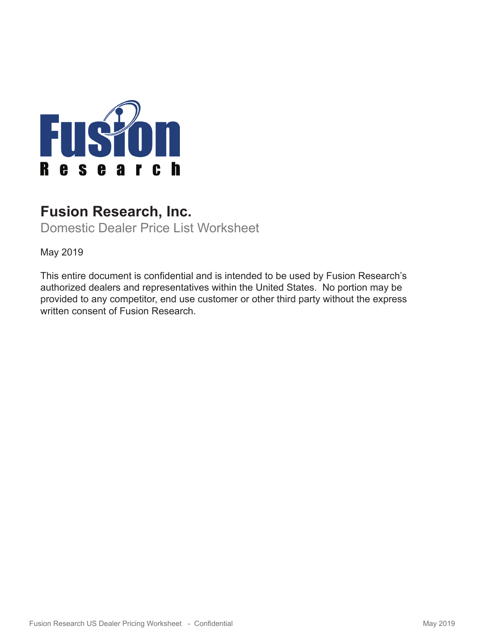

# **Fusion Research, Inc.**

Domestic Dealer Price List Worksheet

May 2019

This entire document is confidential and is intended to be used by Fusion Research's authorized dealers and representatives within the United States. No portion may be provided to any competitor, end use customer or other third party without the express written consent of Fusion Research.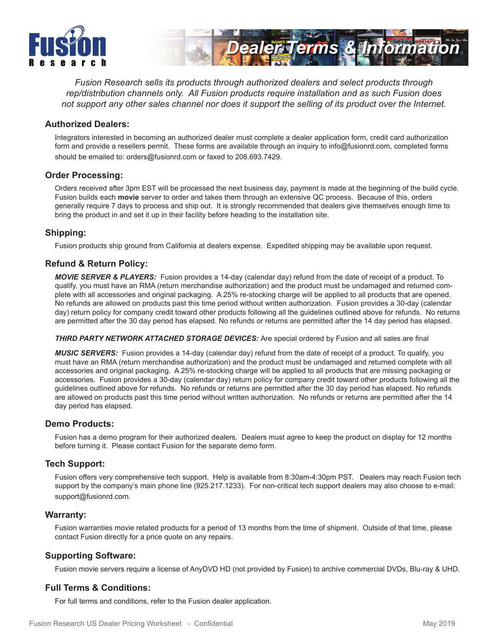



*Fusion Research sells its products through authorized dealers and select products through rep/distribution channels only. All Fusion products require installation and as such Fusion does not support any other sales channel nor does it support the selling of its product over the Internet.*

#### **Authorized Dealers:**

Integrators interested in becoming an authorized dealer must complete a dealer application form, credit card authorization form and provide a resellers permit. These forms are available through an inquiry to info@fusionrd.com, completed forms should be emailed to: orders@fusionrd.com or faxed to 208.693.7429.

#### **Order Processing:**

Orders received after 3pm EST will be processed the next business day, payment is made at the beginning of the build cycle. Fusion builds each **movie** server to order and takes them through an extensive QC process. Because of this, orders generally require 7 days to process and ship out. It is strongly recommended that dealers give themselves enough time to bring the product in and set it up in their facility before heading to the installation site.

#### **Shipping:**

Fusion products ship ground from California at dealers expense. Expedited shipping may be available upon request.

## **Refund & Return Policy:**

*MOVIE SERVER & PLAYERS:* Fusion provides a 14-day (calendar day) refund from the date of receipt of a product. To qualify, you must have an RMA (return merchandise authorization) and the product must be undamaged and returned complete with all accessories and original packaging. A 25% re-stocking charge will be applied to all products that are opened. No refunds are allowed on products past this time period without written authorization. Fusion provides a 30-day (calendar day) return policy for company credit toward other products following all the guidelines outlined above for refunds. No returns are permitted after the 30 day period has elapsed. No refunds or returns are permitted after the 14 day period has elapsed.

**THIRD PARTY NETWORK ATTACHED STORAGE DEVICES:** Are special ordered by Fusion and all sales are final

*MUSIC SERVERS:* Fusion provides a 14-day (calendar day) refund from the date of receipt of a product. To qualify, you must have an RMA (return merchandise authorization) and the product must be undamaged and returned complete with all accessories and original packaging. A 25% re-stocking charge will be applied to all products that are missing packaging or accessories. Fusion provides a 30-day (calendar day) return policy for company credit toward other products following all the guidelines outlined above for refunds. No refunds or returns are permitted after the 30 day period has elapsed. No refunds are allowed on products past this time period without written authorization. No refunds or returns are permitted after the 14 day period has elapsed.

#### **Demo Products:**

Fusion has a demo program for their authorized dealers. Dealers must agree to keep the product on display for 12 months before turning it. Please contact Fusion for the separate demo form.

#### **Tech Support:**

Fusion offers very comprehensive tech support. Help is available from 8:30am-4:30pm PST. Dealers may reach Fusion tech support by the company's main phone line (925.217.1233). For non-critical tech support dealers may also choose to e-mail: support@fusionrd.com.

#### **Warranty:**

Fusion warranties movie related products for a period of 13 months from the time of shipment. Outside of that time, please contact Fusion directly for a price quote on any repairs.

#### **Supporting Software:**

Fusion movie servers require a license of AnyDVD HD (not provided by Fusion) to archive commercial DVDs, Blu-ray & UHD.

## **Full Terms & Conditions:**

For full terms and conditions, refer to the Fusion dealer application.